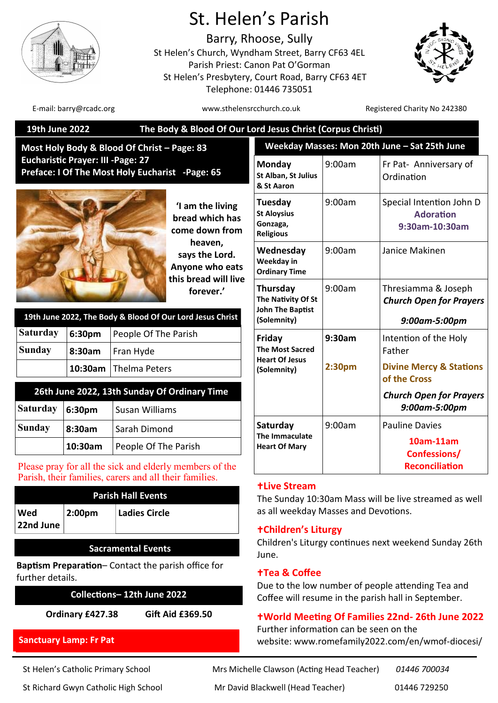

# St. Helen's Parish

Barry, Rhoose, Sully St Helen's Church, Wyndham Street, Barry CF63 4EL Parish Priest: Canon Pat O'Gorman St Helen's Presbytery, Court Road, Barry CF63 4ET Telephone: 01446 735051



E-mail: barry@rcadc.org entitled to the www.sthelensrcchurch.co.uk Registered Charity No 242380

| The Body & Blood Of Our Lord Jesus Christ (Corpus Christi)<br>19th June 2022                                      |                                                                        |                      |                                                                      |                                                                                                                                                     |        |                                                                        |  |
|-------------------------------------------------------------------------------------------------------------------|------------------------------------------------------------------------|----------------------|----------------------------------------------------------------------|-----------------------------------------------------------------------------------------------------------------------------------------------------|--------|------------------------------------------------------------------------|--|
| Most Holy Body & Blood Of Christ - Page: 83                                                                       |                                                                        |                      |                                                                      | Weekday Masses: Mon 20th June - Sat 25th June                                                                                                       |        |                                                                        |  |
| <b>Eucharistic Prayer: III - Page: 27</b><br>Preface: I Of The Most Holy Eucharist -Page: 65                      |                                                                        |                      |                                                                      | Monday<br>St Alban, St Julius<br>& St Aaron                                                                                                         | 9:00am | Fr Pat- Anniversary of<br>Ordination                                   |  |
|                                                                                                                   | 'I am the living<br>bread which has<br>come down from                  |                      |                                                                      | Tuesday<br><b>St Aloysius</b><br>Gonzaga,<br><b>Religious</b>                                                                                       | 9:00am | Special Intention John D<br><b>Adoration</b><br>9:30am-10:30am         |  |
|                                                                                                                   |                                                                        |                      | heaven,<br>says the Lord.<br>Anyone who eats<br>this bread will live | Wednesday<br>Weekday in<br><b>Ordinary Time</b>                                                                                                     | 9:00am | Janice Makinen                                                         |  |
|                                                                                                                   | forever.'<br>19th June 2022, The Body & Blood Of Our Lord Jesus Christ |                      |                                                                      |                                                                                                                                                     | 9:00am | Thresiamma & Joseph<br><b>Church Open for Prayers</b><br>9:00am-5:00pm |  |
| <b>Saturday</b>                                                                                                   | 6:30pm                                                                 | People Of The Parish |                                                                      | Friday                                                                                                                                              | 9:30am | Intention of the Holy                                                  |  |
| <b>Sunday</b>                                                                                                     | 8:30am                                                                 | Fran Hyde            |                                                                      | <b>The Most Sacred</b><br><b>Heart Of Jesus</b><br>(Solemnity)                                                                                      |        | Father                                                                 |  |
|                                                                                                                   | 10:30am                                                                | <b>Thelma Peters</b> |                                                                      |                                                                                                                                                     | 2:30pm | <b>Divine Mercy &amp; Stations</b><br>of the Cross                     |  |
| 26th June 2022, 13th Sunday Of Ordinary Time                                                                      |                                                                        |                      |                                                                      |                                                                                                                                                     |        | <b>Church Open for Prayers</b>                                         |  |
| <b>Saturday</b>                                                                                                   | 6:30pm                                                                 | Susan Williams       |                                                                      |                                                                                                                                                     |        | 9:00am-5:00pm                                                          |  |
| <b>Sunday</b>                                                                                                     | 8:30am                                                                 | Sarah Dimond         |                                                                      | Saturday<br>The Immaculate                                                                                                                          | 9:00am | <b>Pauline Davies</b>                                                  |  |
|                                                                                                                   | 10:30am                                                                | People Of The Parish |                                                                      | <b>Heart Of Mary</b>                                                                                                                                |        | 10am-11am<br><b>Confessions/</b><br><b>Reconciliation</b>              |  |
| Please pray for all the sick and elderly members of the<br>Parish, their families, carers and all their families. |                                                                        |                      |                                                                      | <b>+Live Stream</b>                                                                                                                                 |        |                                                                        |  |
| <b>Parish Hall Events</b>                                                                                         |                                                                        |                      |                                                                      | The Sunday 10:30am Mass will be live streamed as well                                                                                               |        |                                                                        |  |
| Wed                                                                                                               | 2:00pm                                                                 | <b>Ladies Circle</b> |                                                                      | as all weekday Masses and Devotions.                                                                                                                |        |                                                                        |  |
| 22nd June                                                                                                         |                                                                        |                      |                                                                      | <b>+Children's Liturgy</b>                                                                                                                          |        |                                                                        |  |
| <b>Sacramental Events</b>                                                                                         |                                                                        |                      |                                                                      | Children's Liturgy continues next weekend Sunday 26th<br>June.                                                                                      |        |                                                                        |  |
| Baptism Preparation- Contact the parish office for<br>further details.                                            |                                                                        |                      |                                                                      | <b>+Tea &amp; Coffee</b><br>Due to the low number of people attending Tea and<br>Coffee will resume in the parish hall in September.                |        |                                                                        |  |
| Collections-12th June 2022                                                                                        |                                                                        |                      |                                                                      |                                                                                                                                                     |        |                                                                        |  |
| Gift Aid £369.50<br>Ordinary £427.38                                                                              |                                                                        |                      |                                                                      | <b>+World Meeting Of Families 22nd-26th June 2022</b><br>Further information can be seen on the<br>website: www.romefamily2022.com/en/wmof-diocesi/ |        |                                                                        |  |
| <b>Sanctuary Lamp: Fr Pat</b>                                                                                     |                                                                        |                      |                                                                      |                                                                                                                                                     |        |                                                                        |  |

St Helen's Catholic Primary School Mrs Michelle Clawson (Acting Head Teacher) *01446 700034* St Richard Gwyn Catholic High School Mr David Blackwell (Head Teacher) 01446 729250